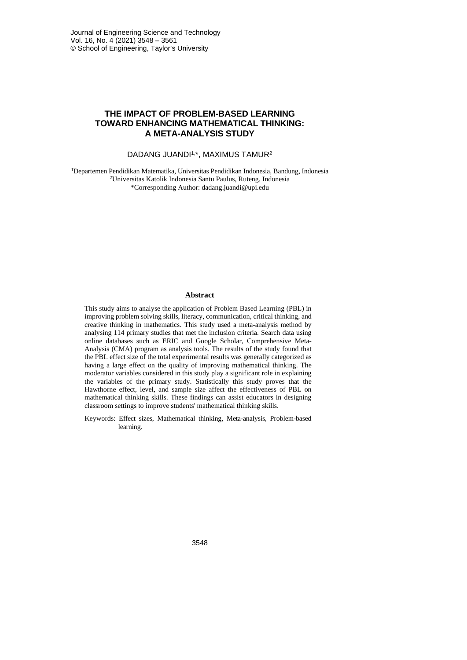## **THE IMPACT OF PROBLEM-BASED LEARNING TOWARD ENHANCING MATHEMATICAL THINKING: A META-ANALYSIS STUDY**

## DADANG JUANDI<sup>1,\*</sup>, MAXIMUS TAMUR<sup>2</sup>

1 Departemen Pendidikan Matematika, Universitas Pendidikan Indonesia, Bandung, Indonesia 2Universitas Katolik Indonesia Santu Paulus, Ruteng, Indonesia \*Corresponding Author: dadang.juandi@upi.edu

### **Abstract**

This study aims to analyse the application of Problem Based Learning (PBL) in improving problem solving skills, literacy, communication, critical thinking, and creative thinking in mathematics. This study used a meta-analysis method by analysing 114 primary studies that met the inclusion criteria. Search data using online databases such as ERIC and Google Scholar, Comprehensive Meta-Analysis (CMA) program as analysis tools. The results of the study found that the PBL effect size of the total experimental results was generally categorized as having a large effect on the quality of improving mathematical thinking. The moderator variables considered in this study play a significant role in explaining the variables of the primary study. Statistically this study proves that the Hawthorne effect, level, and sample size affect the effectiveness of PBL on mathematical thinking skills. These findings can assist educators in designing classroom settings to improve students' mathematical thinking skills.

Keywords: Effect sizes, Mathematical thinking, Meta-analysis, Problem-based learning.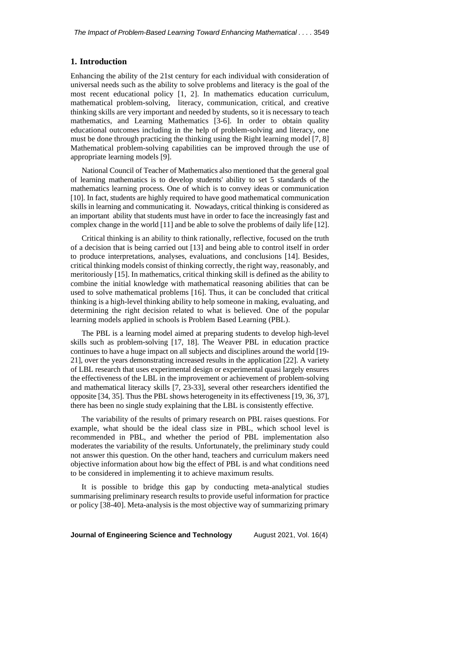### **1. Introduction**

Enhancing the ability of the 21st century for each individual with consideration of universal needs such as the ability to solve problems and literacy is the goal of the most recent educational policy [1, 2]. In mathematics education curriculum, mathematical problem-solving, literacy, communication, critical, and creative thinking skills are very important and needed by students, so it is necessary to teach mathematics, and Learning Mathematics [3-6]. In order to obtain quality educational outcomes including in the help of problem-solving and literacy, one must be done through practicing the thinking using the Right learning model [7, 8] Mathematical problem-solving capabilities can be improved through the use of appropriate learning models [9].

National Council of Teacher of Mathematics also mentioned that the general goal of learning mathematics is to develop students' ability to set 5 standards of the mathematics learning process. One of which is to convey ideas or communication [10]. In fact, students are highly required to have good mathematical communication skills in learning and communicating it. Nowadays, critical thinking is considered as an important ability that students must have in order to face the increasingly fast and complex change in the world [11] and be able to solve the problems of daily life [12].

Critical thinking is an ability to think rationally, reflective, focused on the truth of a decision that is being carried out [13] and being able to control itself in order to produce interpretations, analyses, evaluations, and conclusions [14]. Besides, critical thinking models consist of thinking correctly, the right way, reasonably, and meritoriously [15]. In mathematics, critical thinking skill is defined as the ability to combine the initial knowledge with mathematical reasoning abilities that can be used to solve mathematical problems [16]. Thus, it can be concluded that critical thinking is a high-level thinking ability to help someone in making, evaluating, and determining the right decision related to what is believed. One of the popular learning models applied in schools is Problem Based Learning (PBL).

The PBL is a learning model aimed at preparing students to develop high-level skills such as problem-solving [17, 18]. The Weaver PBL in education practice continues to have a huge impact on all subjects and disciplines around the world [19- 21], over the years demonstrating increased results in the application [22]. A variety of LBL research that uses experimental design or experimental quasi largely ensures the effectiveness of the LBL in the improvement or achievement of problem-solving and mathematical literacy skills [7, 23-33], several other researchers identified the opposite [34, 35]. Thus the PBL shows heterogeneity in its effectiveness [19, 36, 37], there has been no single study explaining that the LBL is consistently effective.

The variability of the results of primary research on PBL raises questions. For example, what should be the ideal class size in PBL, which school level is recommended in PBL, and whether the period of PBL implementation also moderates the variability of the results. Unfortunately, the preliminary study could not answer this question. On the other hand, teachers and curriculum makers need objective information about how big the effect of PBL is and what conditions need to be considered in implementing it to achieve maximum results.

It is possible to bridge this gap by conducting meta-analytical studies summarising preliminary research results to provide useful information for practice or policy [38-40]. Meta-analysis is the most objective way of summarizing primary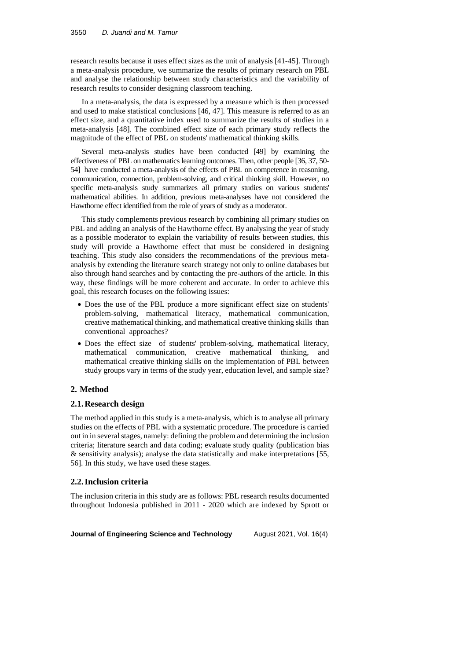research results because it uses effect sizes as the unit of analysis [41-45]. Through a meta-analysis procedure, we summarize the results of primary research on PBL and analyse the relationship between study characteristics and the variability of research results to consider designing classroom teaching.

In a meta-analysis, the data is expressed by a measure which is then processed and used to make statistical conclusions [46, 47]. This measure is referred to as an effect size, and a quantitative index used to summarize the results of studies in a meta-analysis [48]. The combined effect size of each primary study reflects the magnitude of the effect of PBL on students' mathematical thinking skills.

Several meta-analysis studies have been conducted [49] by examining the effectiveness of PBL on mathematics learning outcomes. Then, other people [36, 37, 50- 54] have conducted a meta-analysis of the effects of PBL on competence in reasoning, communication, connection, problem-solving, and critical thinking skill. However, no specific meta-analysis study summarizes all primary studies on various students' mathematical abilities. In addition, previous meta-analyses have not considered the Hawthorne effect identified from the role of years of study as a moderator.

This study complements previous research by combining all primary studies on PBL and adding an analysis of the Hawthorne effect. By analysing the year of study as a possible moderator to explain the variability of results between studies, this study will provide a Hawthorne effect that must be considered in designing teaching. This study also considers the recommendations of the previous metaanalysis by extending the literature search strategy not only to online databases but also through hand searches and by contacting the pre-authors of the article. In this way, these findings will be more coherent and accurate. In order to achieve this goal, this research focuses on the following issues:

- Does the use of the PBL produce a more significant effect size on students' problem-solving, mathematical literacy, mathematical communication, creative mathematical thinking, and mathematical creative thinking skills than conventional approaches?
- Does the effect size of students' problem-solving, mathematical literacy, mathematical communication, creative mathematical thinking, and mathematical creative thinking skills on the implementation of PBL between study groups vary in terms of the study year, education level, and sample size?

# **2. Method**

# **2.1.Research design**

The method applied in this study is a meta-analysis, which is to analyse all primary studies on the effects of PBL with a systematic procedure. The procedure is carried out in in several stages, namely: defining the problem and determining the inclusion criteria; literature search and data coding; evaluate study quality (publication bias & sensitivity analysis); analyse the data statistically and make interpretations [55, 56]. In this study, we have used these stages.

# **2.2.Inclusion criteria**

The inclusion criteria in this study are as follows: PBL research results documented throughout Indonesia published in 2011 - 2020 which are indexed by Sprott or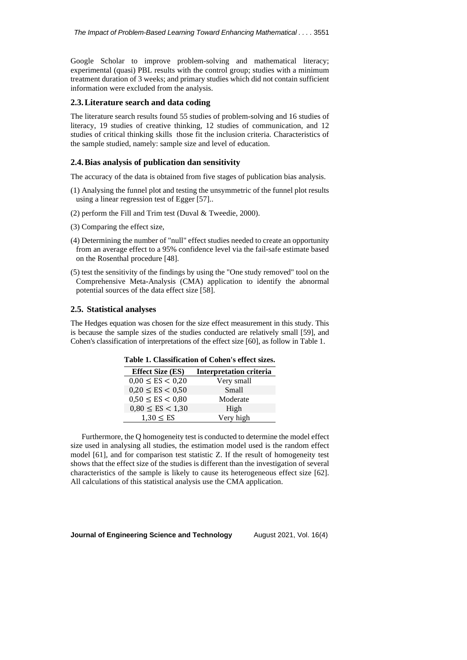Google Scholar to improve problem-solving and mathematical literacy; experimental (quasi) PBL results with the control group; studies with a minimum treatment duration of 3 weeks; and primary studies which did not contain sufficient information were excluded from the analysis.

#### **2.3.Literature search and data coding**

The literature search results found 55 studies of problem-solving and 16 studies of literacy, 19 studies of creative thinking, 12 studies of communication, and 12 studies of critical thinking skills those fit the inclusion criteria. Characteristics of the sample studied, namely: sample size and level of education.

#### **2.4.Bias analysis of publication dan sensitivity**

The accuracy of the data is obtained from five stages of publication bias analysis.

- (1) Analysing the funnel plot and testing the unsymmetric of the funnel plot results using a linear regression test of Egger [57]..
- (2) perform the Fill and Trim test (Duval & Tweedie, 2000).
- (3) Comparing the effect size,
- (4) Determining the number of "null" effect studies needed to create an opportunity from an average effect to a 95% confidence level via the fail-safe estimate based on the Rosenthal procedure [48].
- (5) test the sensitivity of the findings by using the "One study removed" tool on the Comprehensive Meta-Analysis (CMA) application to identify the abnormal potential sources of the data effect size [58].

#### **2.5. Statistical analyses**

The Hedges equation was chosen for the size effect measurement in this study. This is because the sample sizes of the studies conducted are relatively small [59], and Cohen's classification of interpretations of the effect size [60], as follow in Table 1.

| <b>Effect Size (ES)</b> | <b>Interpretation criteria</b> |
|-------------------------|--------------------------------|
| $0.00 \leq ES < 0.20$   | Very small                     |
| $0,20 \leq ES < 0,50$   | Small                          |
| $0,50 \leq ES < 0,80$   | Moderate                       |
| $0.80 \leq ES < 1.30$   | High                           |
| 1.30 < ES               | Very high                      |

Furthermore, the Q homogeneity test is conducted to determine the model effect size used in analysing all studies, the estimation model used is the random effect model [61], and for comparison test statistic Z. If the result of homogeneity test shows that the effect size of the studies is different than the investigation of several characteristics of the sample is likely to cause its heterogeneous effect size [62]. All calculations of this statistical analysis use the CMA application.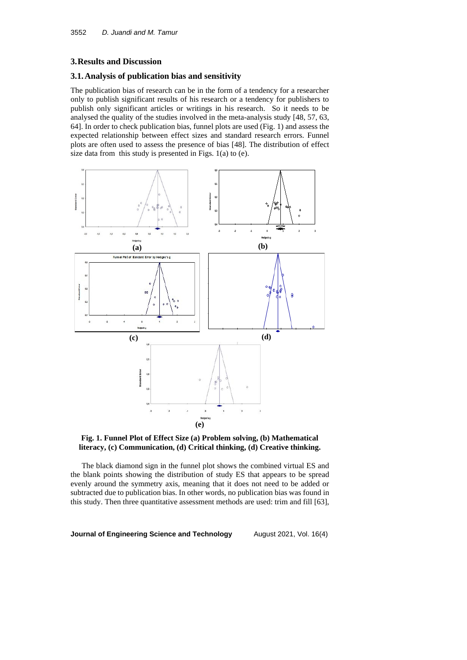### **3.Results and Discussion**

# **3.1.Analysis of publication bias and sensitivity**

The publication bias of research can be in the form of a tendency for a researcher only to publish significant results of his research or a tendency for publishers to publish only significant articles or writings in his research. So it needs to be analysed the quality of the studies involved in the meta-analysis study [48, 57, 63, 64]. In order to check publication bias, funnel plots are used (Fig. 1) and assess the expected relationship between effect sizes and standard research errors. Funnel plots are often used to assess the presence of bias [48]. The distribution of effect size data from this study is presented in Figs. 1(a) to (e).





The black diamond sign in the funnel plot shows the combined virtual ES and the blank points showing the distribution of study ES that appears to be spread evenly around the symmetry axis, meaning that it does not need to be added or subtracted due to publication bias. In other words, no publication bias was found in this study. Then three quantitative assessment methods are used: trim and fill [63],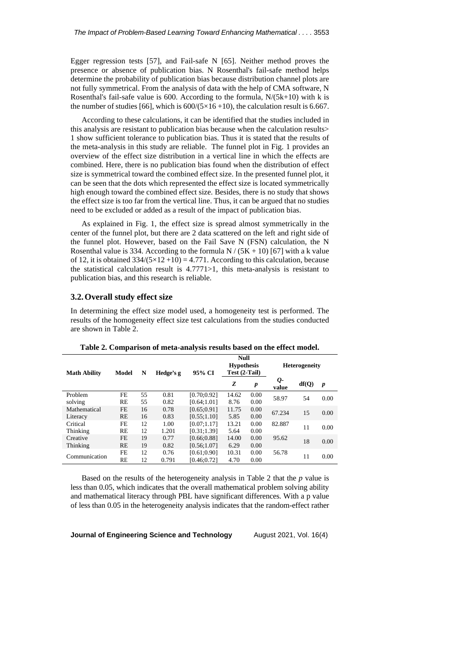Egger regression tests [57], and Fail-safe N [65]. Neither method proves the presence or absence of publication bias. N Rosenthal's fail-safe method helps determine the probability of publication bias because distribution channel plots are not fully symmetrical. From the analysis of data with the help of CMA software, N Rosenthal's fail-safe value is 600. According to the formula,  $N/(5k+10)$  with k is the number of studies [66], which is  $600/(5 \times 16 + 10)$ , the calculation result is 6.667.

According to these calculations, it can be identified that the studies included in this analysis are resistant to publication bias because when the calculation results> 1 show sufficient tolerance to publication bias. Thus it is stated that the results of the meta-analysis in this study are reliable. The funnel plot in Fig. 1 provides an overview of the effect size distribution in a vertical line in which the effects are combined. Here, there is no publication bias found when the distribution of effect size is symmetrical toward the combined effect size. In the presented funnel plot, it can be seen that the dots which represented the effect size is located symmetrically high enough toward the combined effect size. Besides, there is no study that shows the effect size is too far from the vertical line. Thus, it can be argued that no studies need to be excluded or added as a result of the impact of publication bias.

As explained in Fig. 1, the effect size is spread almost symmetrically in the center of the funnel plot, but there are 2 data scattered on the left and right side of the funnel plot. However, based on the Fail Save N (FSN) calculation, the N Rosenthal value is 334. According to the formula  $N/(5K + 10)$  [67] with a k value of 12, it is obtained  $334/(5 \times 12 + 10) = 4.771$ . According to this calculation, because the statistical calculation result is 4.7771>1, this meta-analysis is resistant to publication bias, and this research is reliable.

### **3.2.Overall study effect size**

In determining the effect size model used, a homogeneity test is performed. The results of the homogeneity effect size test calculations from the studies conducted are shown in Table 2.

| <b>Math Ability</b> | N<br>Model |    | Hedge's g | 95% CI       | Null<br><b>Hypothesis</b><br>Test (2-Tail) |                  | <b>Heterogeneity</b> |       |      |
|---------------------|------------|----|-----------|--------------|--------------------------------------------|------------------|----------------------|-------|------|
|                     |            |    |           |              | Z                                          | $\boldsymbol{p}$ | Q-<br>value          | df(Q) | p    |
| Problem             | FE         | 55 | 0.81      | [0.70; 0.92] | 14.62                                      | 0.00             | 58.97                | 54    | 0.00 |
| solving             | RE         | 55 | 0.82      | [0.64:1.01]  | 8.76                                       | 0.00             |                      |       |      |
| Mathematical        | FE         | 16 | 0.78      | [0.65:0.91]  | 11.75                                      | 0.00             | 67.234               | 15    | 0.00 |
| Literacy            | <b>RE</b>  | 16 | 0.83      | [0.55:1.10]  | 5.85                                       | 0.00             |                      |       |      |
| Critical            | FE.        | 12 | 1.00      | [0.07;1.17]  | 13.21                                      | 0.00             | 82.887               | 11    |      |
| Thinking            | RE         | 12 | 1.201     | [0.31:1.39]  | 5.64                                       | 0.00             |                      |       | 0.00 |
| Creative            | FE         | 19 | 0.77      | [0.66; 0.88] | 14.00                                      | 0.00             | 95.62                | 18    | 0.00 |
| Thinking            | <b>RE</b>  | 19 | 0.82      | [0.56;1.07]  | 6.29                                       | 0.00             |                      |       |      |
| Communication       | FE         | 12 | 0.76      | [0.61; 0.90] | 10.31                                      | 0.00             | 56.78                |       | 0.00 |
|                     | RE         | 12 | 0.791     | [0.46:0.72]  | 4.70                                       | 0.00             |                      | 11    |      |

**Table 2. Comparison of meta-analysis results based on the effect model.**

Based on the results of the heterogeneity analysis in Table 2 that the *p* value is less than 0.05, which indicates that the overall mathematical problem solving ability and mathematical literacy through PBL have significant differences. With a p value of less than 0.05 in the heterogeneity analysis indicates that the random-effect rather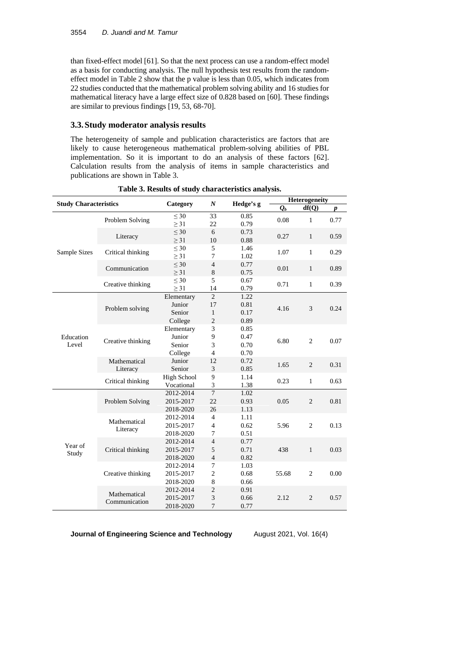than fixed-effect model [61]. So that the next process can use a random-effect model as a basis for conducting analysis. The null hypothesis test results from the randomeffect model in Table 2 show that the p value is less than 0.05, which indicates from 22 studies conducted that the mathematical problem solving ability and 16 studies for mathematical literacy have a large effect size of 0.828 based on [60]. These findings are similar to previous findings [19, 53, 68-70].

## **3.3.Study moderator analysis results**

The heterogeneity of sample and publication characteristics are factors that are likely to cause heterogeneous mathematical problem-solving abilities of PBL implementation. So it is important to do an analysis of these factors [62]. Calculation results from the analysis of items in sample characteristics and publications are shown in Table 3.

| <b>Study Characteristics</b> |                   | Category               | $\boldsymbol{N}$ | Hedge's g    | Heterogeneity      |                |      |
|------------------------------|-------------------|------------------------|------------------|--------------|--------------------|----------------|------|
|                              |                   |                        |                  |              | $\boldsymbol{O}_b$ | df(Q)          | p    |
|                              | Problem Solving   | $<$ 30<br>$\geq$ 31    | 33<br>22         | 0.85<br>0.79 | 0.08               | $\mathbf{1}$   | 0.77 |
|                              | Literacy          | $\leq 30$              | 6                | 0.73         | 0.27               | $\mathbf{1}$   | 0.59 |
|                              |                   | $\geq$ 31              | 10               | 0.88         |                    |                |      |
| Sample Sizes                 | Critical thinking | $\leq 30$<br>$\geq$ 31 | 5<br>7           | 1.46<br>1.02 | 1.07               | $\mathbf{1}$   | 0.29 |
|                              | Communication     | $\leq 30$              | $\overline{4}$   | 0.77         | 0.01               | $\mathbf{1}$   | 0.89 |
|                              |                   | > 31                   | 8<br>5           | 0.75         |                    |                |      |
|                              | Creative thinking | $\leq 30$<br>$\geq$ 31 | 14               | 0.67<br>0.79 | 0.71               | $\mathbf{1}$   | 0.39 |
|                              |                   | Elementary             | $\overline{c}$   | 1.22         |                    | 3              | 0.24 |
|                              |                   | Junior                 | 17               | 0.81         | 4.16               |                |      |
|                              | Problem solving   | Senior                 | $\mathbf{1}$     | 0.17         |                    |                |      |
|                              |                   | College                | $\overline{2}$   | 0.89         |                    |                |      |
| Education                    |                   | Elementary             | 3                | 0.85         |                    | $\overline{2}$ | 0.07 |
|                              | Creative thinking | Junior                 | 9                | 0.47         |                    |                |      |
| Level                        |                   | Senior                 | 3                | 0.70         | 6.80               |                |      |
|                              |                   | College                | $\overline{4}$   | 0.70         |                    |                |      |
|                              | Mathematical      | Junior                 | 12               | 0.72         |                    |                |      |
|                              | Literacy          | Senior                 | 3                | 0.85         | 1.65               | 2              | 0.31 |
|                              |                   | <b>High School</b>     | 9                | 1.14         |                    | $\mathbf{1}$   | 0.63 |
|                              | Critical thinking | Vocational             | 3                | 1.38         | 0.23               |                |      |
|                              | Problem Solving   | 2012-2014              | $\overline{7}$   | 1.02         |                    | 2              | 0.81 |
|                              |                   | 2015-2017              | 22               | 0.93         | 0.05               |                |      |
|                              |                   | 2018-2020              | 26               | 1.13         |                    |                |      |
|                              |                   | 2012-2014              | $\overline{4}$   | 1.11         |                    |                |      |
|                              | Mathematical      | 2015-2017              | $\overline{4}$   | 0.62         | 5.96               | $\overline{2}$ | 0.13 |
|                              | Literacy          | 2018-2020              | $\overline{7}$   | 0.51         |                    |                |      |
|                              |                   | 2012-2014              | $\overline{4}$   | 0.77         |                    | $\mathbf{1}$   | 0.03 |
| Year of<br>Study             | Critical thinking | 2015-2017              | 5                | 0.71         | 438                |                |      |
|                              |                   | 2018-2020              | $\overline{4}$   | 0.82         |                    |                |      |
|                              |                   | 2012-2014              | $\overline{7}$   | 1.03         |                    |                |      |
|                              | Creative thinking | 2015-2017              | $\overline{c}$   | 0.68         | 55.68              | $\overline{2}$ | 0.00 |
|                              |                   | 2018-2020              | 8                | 0.66         |                    |                |      |
|                              | Mathematical      | 2012-2014              | $\sqrt{2}$       | 0.91         |                    |                |      |
|                              | Communication     | 2015-2017              | 3                | 0.66         | 2.12               | $\overline{2}$ | 0.57 |
|                              |                   | 2018-2020              | $\overline{7}$   | 0.77         |                    |                |      |

**Table 3. Results of study characteristics analysis.**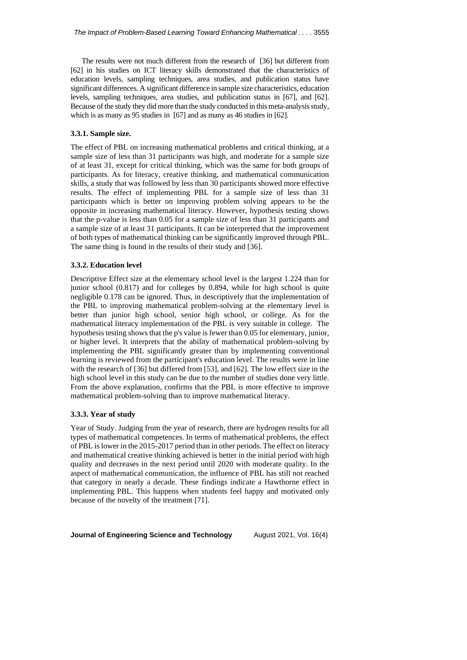The results were not much different from the research of [36] but different from [62] in his studies on ICT literacy skills demonstrated that the characteristics of education levels, sampling techniques, area studies, and publication status have significant differences. A significant difference in sample size characteristics, education levels, sampling techniques, area studies, and publication status in [67], and [62]. Because of the study they did more than the study conducted in this meta-analysis study, which is as many as 95 studies in [67] and as many as 46 studies in [62].

### **3.3.1. Sample size.**

The effect of PBL on increasing mathematical problems and critical thinking, at a sample size of less than 31 participants was high, and moderate for a sample size of at least 31, except for critical thinking, which was the same for both groups of participants. As for literacy, creative thinking, and mathematical communication skills, a study that was followed by less than 30 participants showed more effective results. The effect of implementing PBL for a sample size of less than 31 participants which is better on improving problem solving appears to be the opposite in increasing mathematical literacy. However, hypothesis testing shows that the p-value is less than 0.05 for a sample size of less than 31 participants and a sample size of at least 31 participants. It can be interpreted that the improvement of both types of mathematical thinking can be significantly improved through PBL. The same thing is found in the results of their study and [36].

#### **3.3.2. Education level**

Descriptive Effect size at the elementary school level is the largest 1.224 than for junior school (0.817) and for colleges by 0.894, while for high school is quite negligible 0.178 can be ignored. Thus, in descriptively that the implementation of the PBL to improving mathematical problem-solving at the elementary level is better than junior high school, senior high school, or college. As for the mathematical literacy implementation of the PBL is very suitable in college. The hypothesis testing shows that the p's value is fewer than 0.05 for elementary, junior, or higher level. It interprets that the ability of mathematical problem-solving by implementing the PBL significantly greater than by implementing conventional learning is reviewed from the participant's education level. The results were in line with the research of [36] but differed from [53], and [62]. The low effect size in the high school level in this study can be due to the number of studies done very little. From the above explanation, confirms that the PBL is more effective to improve mathematical problem-solving than to improve mathematical literacy.

#### **3.3.3. Year of study**

Year of Study. Judging from the year of research, there are hydrogen results for all types of mathematical competences. In terms of mathematical problems, the effect of PBL is lower in the 2015-2017 period than in other periods. The effect on literacy and mathematical creative thinking achieved is better in the initial period with high quality and decreases in the next period until 2020 with moderate quality. In the aspect of mathematical communication, the influence of PBL has still not reached that category in nearly a decade. These findings indicate a Hawthorne effect in implementing PBL. This happens when students feel happy and motivated only because of the novelty of the treatment [71].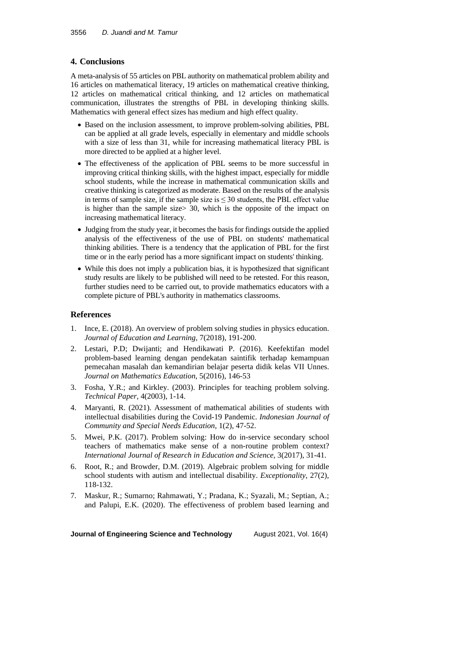# **4. Conclusions**

A meta-analysis of 55 articles on PBL authority on mathematical problem ability and 16 articles on mathematical literacy, 19 articles on mathematical creative thinking, 12 articles on mathematical critical thinking, and 12 articles on mathematical communication, illustrates the strengths of PBL in developing thinking skills. Mathematics with general effect sizes has medium and high effect quality.

- Based on the inclusion assessment, to improve problem-solving abilities, PBL can be applied at all grade levels, especially in elementary and middle schools with a size of less than 31, while for increasing mathematical literacy PBL is more directed to be applied at a higher level.
- The effectiveness of the application of PBL seems to be more successful in improving critical thinking skills, with the highest impact, especially for middle school students, while the increase in mathematical communication skills and creative thinking is categorized as moderate. Based on the results of the analysis in terms of sample size, if the sample size is  $\leq$  30 students, the PBL effect value is higher than the sample size> 30, which is the opposite of the impact on increasing mathematical literacy.
- Judging from the study year, it becomes the basis for findings outside the applied analysis of the effectiveness of the use of PBL on students' mathematical thinking abilities. There is a tendency that the application of PBL for the first time or in the early period has a more significant impact on students' thinking.
- While this does not imply a publication bias, it is hypothesized that significant study results are likely to be published will need to be retested. For this reason, further studies need to be carried out, to provide mathematics educators with a complete picture of PBL's authority in mathematics classrooms.

## **References**

- 1. Ince, E. (2018). An overview of problem solving studies in physics education. *Journal of Education and Learning*, 7(2018), 191-200.
- 2. Lestari, P.D; Dwijanti; and Hendikawati P. (2016). Keefektifan model problem-based learning dengan pendekatan saintifik terhadap kemampuan pemecahan masalah dan kemandirian belajar peserta didik kelas VII Unnes. *Journal on Mathematics Education*, 5(2016), 146-53
- 3. Fosha, Y.R.; and Kirkley. (2003). Principles for teaching problem solving. *Technical Paper*, 4(2003), 1-14.
- 4. Maryanti, R. (2021). Assessment of mathematical abilities of students with intellectual disabilities during the Covid-19 Pandemic. *Indonesian Journal of Community and Special Needs Education*, 1(2), 47-52.
- 5. Mwei, P.K. (2017). Problem solving: How do in-service secondary school teachers of mathematics make sense of a non-routine problem context? *International Journal of Research in Education and Science,* 3(2017), 31-41.
- 6. Root, R.; and Browder, D.M. (2019). Algebraic problem solving for middle school students with autism and intellectual disability. *Exceptionality*, 27(2), 118-132.
- 7. Maskur, R.; Sumarno; Rahmawati, Y.; Pradana, K.; Syazali, M.; Septian, A.; and Palupi, E.K. (2020). The effectiveness of problem based learning and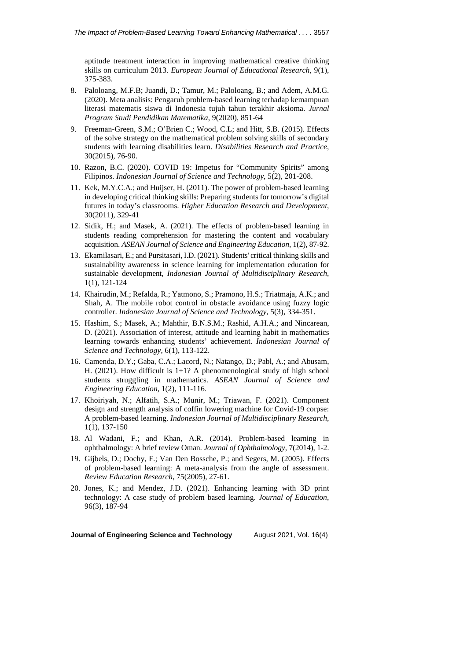aptitude treatment interaction in improving mathematical creative thinking skills on curriculum 2013. *European Journal of Educational Research*, 9(1), 375-383.

- 8. Paloloang, M.F.B; Juandi, D.; Tamur, M.; Paloloang, B.; and Adem, A.M.G. (2020). Meta analisis: Pengaruh problem-based learning terhadap kemampuan literasi matematis siswa di Indonesia tujuh tahun terakhir aksioma. *Jurnal Program Studi Pendidikan Matematika*, 9(2020), 851-64
- 9. Freeman-Green, S.M.; O'Brien C.; Wood, C.L; and Hitt, S.B. (2015). Effects of the solve strategy on the mathematical problem solving skills of secondary students with learning disabilities learn. *Disabilities Research and Practice*, 30(2015), 76-90.
- 10. Razon, B.C. (2020). COVID 19: Impetus for "Community Spirits" among Filipinos. *Indonesian Journal of Science and Technology*, 5(2), 201-208.
- 11. Kek, M.Y.C.A.; and Huijser, H. (2011). The power of problem-based learning in developing critical thinking skills: Preparing students for tomorrow's digital futures in today's classrooms. *Higher Education Research and Development*, 30(2011), 329-41
- 12. Sidik, H.; and Masek, A. (2021). The effects of problem-based learning in students reading comprehension for mastering the content and vocabulary acquisition. *ASEAN Journal of Science and Engineering Education*, 1(2), 87-92.
- 13. Ekamilasari, E.; and Pursitasari, I.D. (2021). Students' critical thinking skills and sustainability awareness in science learning for implementation education for sustainable development*, Indonesian Journal of Multidisciplinary Research*, 1(1), 121-124
- 14. Khairudin, M.; Refalda, R.; Yatmono, S.; Pramono, H.S.; Triatmaja, A.K.; and Shah, A. The mobile robot control in obstacle avoidance using fuzzy logic controller. *Indonesian Journal of Science and Technology*, 5(3), 334-351.
- 15. Hashim, S.; Masek, A.; Mahthir, B.N.S.M.; Rashid, A.H.A.; and Nincarean, D. (2021). Association of interest, attitude and learning habit in mathematics learning towards enhancing students' achievement. *Indonesian Journal of Science and Technology*, 6(1), 113-122.
- 16. Camenda, D.Y.; Gaba, C.A.; Lacord, N.; Natango, D.; Pabl, A.; and Abusam, H. (2021). How difficult is 1+1? A phenomenological study of high school students struggling in mathematics. *ASEAN Journal of Science and Engineering Education*, 1(2), 111-116.
- 17. Khoiriyah, N.; Alfatih, S.A.; Munir, M.; Triawan, F. (2021). Component design and strength analysis of coffin lowering machine for Covid-19 corpse: A problem-based learning. *Indonesian Journal of Multidisciplinary Research*, 1(1), 137-150
- 18. Al Wadani, F.; and Khan, A.R. (2014). Problem-based learning in ophthalmology: A brief review Oman. *Journal of Ophthalmology*, 7(2014), 1-2.
- 19. Gijbels, D.; Dochy, F.; Van Den Bossche, P.; and Segers, M. (2005). Effects of problem-based learning: A meta-analysis from the angle of assessment. *Review Education Research*, 75(2005), 27-61.
- 20. Jones, K.; and Mendez, J.D. (2021). Enhancing learning with 3D print technology: A case study of problem based learning. *Journal of Education*, 96(3), 187-94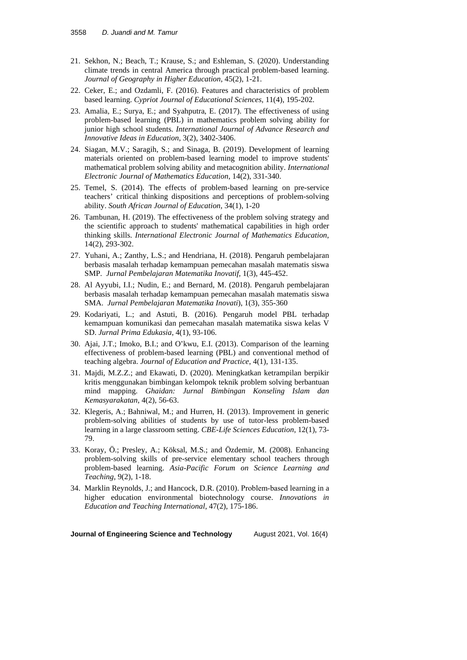- 21. Sekhon, N.; Beach, T.; Krause, S.; and Eshleman, S. (2020). Understanding climate trends in central America through practical problem-based learning. *Journal of Geography in Higher Education*, 45(2), 1-21.
- 22. Ceker, E.; and Ozdamli, F. (2016). Features and characteristics of problem based learning. *Cypriot Journal of Educational Sciences*, 11(4), 195-202.
- 23. Amalia, E.; Surya, E.; and Syahputra, E. (2017). The effectiveness of using problem-based learning (PBL) in mathematics problem solving ability for junior high school students. *International Journal of Advance Research and Innovative Ideas in Education*, 3(2), 3402-3406.
- 24. Siagan, M.V.; Saragih, S.; and Sinaga, B. (2019). Development of learning materials oriented on problem-based learning model to improve students' mathematical problem solving ability and metacognition ability. *International Electronic Journal of Mathematics Education*, 14(2), 331-340.
- 25. Temel, S. (2014). The effects of problem-based learning on pre-service teachers' critical thinking dispositions and perceptions of problem-solving ability. *South African Journal of Education*, 34(1), 1-20
- 26. Tambunan, H. (2019). The effectiveness of the problem solving strategy and the scientific approach to students' mathematical capabilities in high order thinking skills. *International Electronic Journal of Mathematics Education*, 14(2), 293-302.
- 27. Yuhani, A.; Zanthy, L.S.; and Hendriana, H. (2018). Pengaruh pembelajaran berbasis masalah terhadap kemampuan pemecahan masalah matematis siswa SMP. *Jurnal Pembelajaran Matematika Inovatif,* 1(3), 445-452.
- 28. Al Ayyubi, I.I.; Nudin, E.; and Bernard, M. (2018). Pengaruh pembelajaran berbasis masalah terhadap kemampuan pemecahan masalah matematis siswa SMA. *Jurnal Pembelajaran Matematika Inovati*), 1(3), 355-360
- 29. Kodariyati, L.; and Astuti, B. (2016). Pengaruh model PBL terhadap kemampuan komunikasi dan pemecahan masalah matematika siswa kelas V SD. *Jurnal Prima Edukasia*, 4(1), 93-106.
- 30. Ajai, J.T.; Imoko, B.I.; and O'kwu, E.I. (2013). Comparison of the learning effectiveness of problem-based learning (PBL) and conventional method of teaching algebra. *Journal of Education and Practice*, 4(1), 131-135.
- 31. Majdi, M.Z.Z.; and Ekawati, D. (2020). Meningkatkan ketrampilan berpikir kritis menggunakan bimbingan kelompok teknik problem solving berbantuan mind mapping. *Ghaidan: Jurnal Bimbingan Konseling Islam dan Kemasyarakatan*, 4(2), 56-63.
- 32. Klegeris, A.; Bahniwal, M.; and Hurren, H. (2013). Improvement in generic problem-solving abilities of students by use of tutor-less problem-based learning in a large classroom setting. *CBE-Life Sciences Education*, 12(1), 73- 79.
- 33. Koray, Ö.; Presley, A.; Köksal, M.S.; and Özdemir, M. (2008). Enhancing problem-solving skills of pre-service elementary school teachers through problem-based learning. *Asia-Pacific Forum on Science Learning and Teaching*, 9(2), 1-18.
- 34. Marklin Reynolds, J.; and Hancock, D.R. (2010). Problem‐based learning in a higher education environmental biotechnology course. *Innovations in Education and Teaching International*, 47(2), 175-186.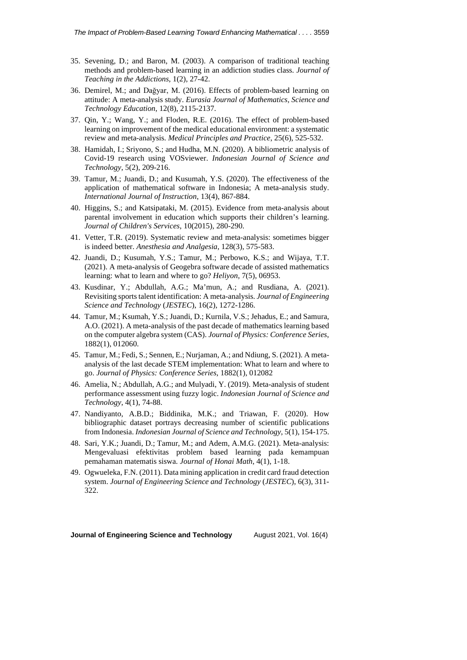- 35. Sevening, D.; and Baron, M. (2003). A comparison of traditional teaching methods and problem-based learning in an addiction studies class. *Journal of Teaching in the Addictions*, 1(2), 27-42.
- 36. Demirel, M.; and Dağyar, M. (2016). Effects of problem-based learning on attitude: A meta-analysis study. *Eurasia Journal of Mathematics, Science and Technology Education*, 12(8), 2115-2137.
- 37. Qin, Y.; Wang, Y.; and Floden, R.E. (2016). The effect of problem-based learning on improvement of the medical educational environment: a systematic review and meta-analysis. *Medical Principles and Practice*, 25(6), 525-532.
- 38. Hamidah, I.; Sriyono, S.; and Hudha, M.N. (2020). A bibliometric analysis of Covid-19 research using VOSviewer. *Indonesian Journal of Science and Technology*, 5(2), 209-216.
- 39. Tamur, M.; Juandi, D.; and Kusumah, Y.S. (2020). The effectiveness of the application of mathematical software in Indonesia; A meta-analysis study. *International Journal of Instruction*, 13(4), 867-884.
- 40. Higgins, S.; and Katsipataki, M. (2015). Evidence from meta-analysis about parental involvement in education which supports their children's learning. *Journal of Children's Services*, 10(2015), 280-290.
- 41. Vetter, T.R. (2019). Systematic review and meta-analysis: sometimes bigger is indeed better. *Anesthesia and Analgesia*, 128(3), 575-583.
- 42. Juandi, D.; Kusumah, Y.S.; Tamur, M.; Perbowo, K.S.; and Wijaya, T.T. (2021). A meta-analysis of Geogebra software decade of assisted mathematics learning: what to learn and where to go? *Heliyon*, 7(5), 06953.
- 43. Kusdinar, Y.; Abdullah, A.G.; Ma'mun, A.; and Rusdiana, A. (2021). Revisiting sports talent identification: A meta-analysis. *Journal of Engineering Science and Technology* (*JESTEC*), 16(2), 1272-1286.
- 44. Tamur, M.; Ksumah, Y.S.; Juandi, D.; Kurnila, V.S.; Jehadus, E.; and Samura, A.O. (2021). A meta-analysis of the past decade of mathematics learning based on the computer algebra system (CAS). *Journal of Physics: Conference Series*, 1882(1), 012060.
- 45. Tamur, M.; Fedi, S.; Sennen, E.; Nurjaman, A.; and Ndiung, S. (2021). A metaanalysis of the last decade STEM implementation: What to learn and where to go. *Journal of Physics: Conference Series*, 1882(1), 012082
- 46. Amelia, N.; Abdullah, A.G.; and Mulyadi, Y. (2019). Meta-analysis of student performance assessment using fuzzy logic. *Indonesian Journal of Science and Technology*, 4(1), 74-88.
- 47. Nandiyanto, A.B.D.; Biddinika, M.K.; and Triawan, F. (2020). How bibliographic dataset portrays decreasing number of scientific publications from Indonesia. *Indonesian Journal of Science and Technology*, 5(1), 154-175.
- 48. Sari, Y.K.; Juandi, D.; Tamur, M.; and Adem, A.M.G. (2021). Meta-analysis: Mengevaluasi efektivitas problem based learning pada kemampuan pemahaman matematis siswa. *Journal of Honai Math*, 4(1), 1-18.
- 49. Ogwueleka, F.N. (2011). Data mining application in credit card fraud detection system. *Journal of Engineering Science and Technology* (*JESTEC*), 6(3), 311- 322.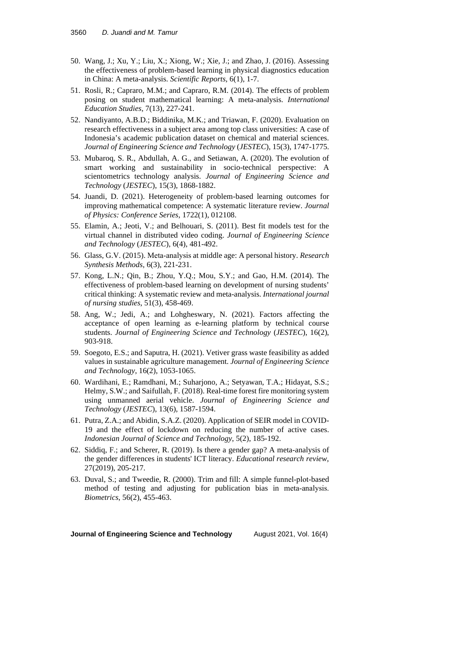- 50. Wang, J.; Xu, Y.; Liu, X.; Xiong, W.; Xie, J.; and Zhao, J. (2016). Assessing the effectiveness of problem-based learning in physical diagnostics education in China: A meta-analysis. *Scientific Reports*, 6(1), 1-7.
- 51. Rosli, R.; Capraro, M.M.; and Capraro, R.M. (2014). The effects of problem posing on student mathematical learning: A meta-analysis. *International Education Studies*, 7(13), 227-241.
- 52. Nandiyanto, A.B.D.; Biddinika, M.K.; and Triawan, F. (2020). Evaluation on research effectiveness in a subject area among top class universities: A case of Indonesia's academic publication dataset on chemical and material sciences. *Journal of Engineering Science and Technology* (*JESTEC*), 15(3), 1747-1775.
- 53. Mubaroq, S. R., Abdullah, A. G., and Setiawan, A. (2020). The evolution of smart working and sustainability in socio-technical perspective: A scientometrics technology analysis. *Journal of Engineering Science and Technology* (*JESTEC*), 15(3), 1868-1882.
- 54. Juandi, D. (2021). Heterogeneity of problem-based learning outcomes for improving mathematical competence: A systematic literature review. *Journal of Physics: Conference Series*, 1722(1), 012108.
- 55. Elamin, A.; Jeoti, V.; and Belhouari, S. (2011). Best fit models test for the virtual channel in distributed video coding. *Journal of Engineering Science and Technology* (*JESTEC*), 6(4), 481-492.
- 56. Glass, G.V. (2015). Meta‐analysis at middle age: A personal history. *Research Synthesis Methods*, 6(3), 221-231.
- 57. Kong, L.N.; Qin, B.; Zhou, Y.Q.; Mou, S.Y.; and Gao, H.M. (2014). The effectiveness of problem-based learning on development of nursing students' critical thinking: A systematic review and meta-analysis. *International journal of nursing studies*, 51(3), 458-469.
- 58. Ang, W.; Jedi, A.; and Lohgheswary, N. (2021). Factors affecting the acceptance of open learning as e-learning platform by technical course students. *Journal of Engineering Science and Technology* (*JESTEC*), 16(2), 903-918.
- 59. Soegoto, E.S.; and Saputra, H. (2021). Vetiver grass waste feasibility as added values in sustainable agriculture management. *Journal of Engineering Science and Technology*, 16(2), 1053-1065.
- 60. Wardihani, E.; Ramdhani, M.; Suharjono, A.; Setyawan, T.A.; Hidayat, S.S.; Helmy, S.W.; and Saifullah, F. (2018). Real-time forest fire monitoring system using unmanned aerial vehicle. *Journal of Engineering Science and Technology* (*JESTEC*), 13(6), 1587-1594.
- 61. Putra, Z.A.; and Abidin, S.A.Z. (2020). Application of SEIR model in COVID-19 and the effect of lockdown on reducing the number of active cases. *Indonesian Journal of Science and Technology*, 5(2), 185-192.
- 62. Siddiq, F.; and Scherer, R. (2019). Is there a gender gap? A meta-analysis of the gender differences in students' ICT literacy. *Educational research review*, 27(2019), 205-217.
- 63. Duval, S.; and Tweedie, R. (2000). Trim and fill: A simple funnel‐plot-based method of testing and adjusting for publication bias in meta-analysis. *Biometrics*, 56(2), 455-463.